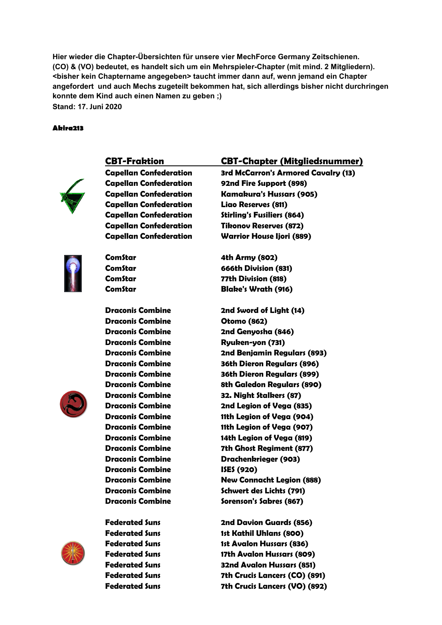**Hier wieder die Chapter-Übersichten für unsere vier MechForce Germany Zeitschienen.** Hier wieder die Chapter-Übersichten für unsere vier MechForce Germany Zeitschienen.<br>(CO) & (VO) bedeutet, es handelt sich um ein Mehrspieler-Chapter (mit mind. 2 Mitgliedern). **<bisher kein Chaptername angegeben> taucht immer dann auf, wenn jemand ein Chapter angefordert und auch Mechs zugeteilt bekommen hat, sich al allerdings bisher nicht durchringen konnte dem Kind auch einen Namen zu geben ;) Stand: 17. Juni 2020** Chapter (mit<br>า auf, wenn j<br>h allerdings

#### **Akira213**



 **CBT-Fraktion Capellan Confederation**

**Capellan Confederation Capellan Confederation Capellan Confederation Capellan Confederation Capellan Confederation Capellan Confederation**



 **ComStar ComStar ComStar ComStar**

**Draconis Combine Draconis Combine**

**Draconis Combine Draconis Combine Draconis Combine Draconis Combine Draconis Combine Draconis Combine Draconis Combine Draconis Combine Draconis Combine Draconis Combine Draconis Combine Draconis Combine Draconis Combine Draconis Combine Draconis Combine Draconis Combine Draconis Combine**



**Federated Suns Federated Suns Federated Suns Federated Suns Federated Suns Federated Suns**

**Federated Suns**

#### **Fraktion CBT-Chapter (Mitgliedsnummer)**

 **3rd McCarron's Armored Cavalry (13) 92nd Fire Support (898) Confederation Kamakura's Hussars (905) Liao Reserves (811) Stirling's Fusiliers (864) Tikonov Reserves (872) Confederation Warrior House Ijori (889)** 

**4th Army (802) 666th Division (831) 77th Division (818) Blake's Wrath (916)** 

**2nd Sword of Light (14) Otomo (862) Combine 2nd Genyosha (846) Ryuken-yon (731) 2nd Benjamin Regulars (893) 36th Dieron Regulars (896) 36th Dieron Regulars (899) 8th Galedon Regulars (890) Combine 32. Night Stalkers (87) 2nd Legion of Vega (835) Combine 11th Legion of Vega (904) 11th Legion of Vega (907) Combine 14th Legion of Vega (819) 7th Ghost Regiment (877) Drachenkrieger (903) Combine ISES (920) New Connacht Legion (888) Schwert des Lichts (791) Sorenson's Sabres (867)** 

**2nd Davion Guards (856) 1st Kathil Uhlans (800) 1st Avalon Hussars (836) 17th Avalon Hussars (809) ns 32nd Avalon Hussars (851) 7th Crucis Lancers (CO) (891) 7th Crucis Lancers (VO) (892)**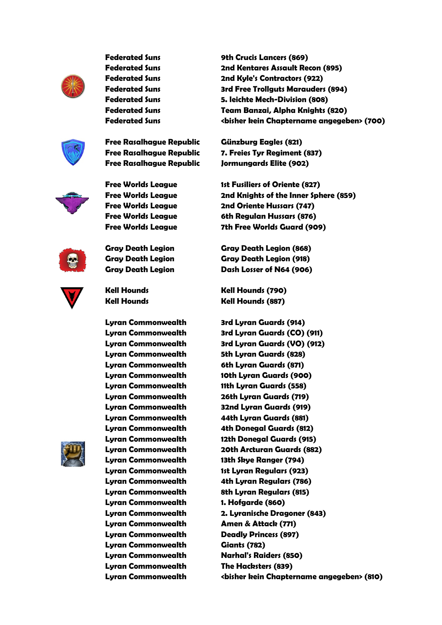

**Federated Suns Federated Suns Federated Suns Federated Suns Federated Suns Federated Suns Federated Suns**



**Free Rasalhague Republic Free Rasalhague Republic Free Rasalhague Republic**



**Free Worlds League Free Worlds League Free Worlds League Free Worlds League Free Worlds League**

**Gray Death Legion Gray Death Legion Gray Death Legion**



 **Kell Hounds Kell Hounds**

> **Lyran Commonwealth Lyran Commonwealth Lyran Commonwealth Lyran Commonwealth Lyran Commonwealth Lyran Commonwealth Lyran Commonwealth Lyran Commonwealth Lyran Commonwealth Lyran Commonwealth Lyran Commonwealth Lyran Commonwealth Lyran Commonwealth Lyran Commonwealth Lyran Commonwealth Lyran Commonwealth Lyran Commonwealt Lyran Commonwealth Lyran Commonwealth Lyran Commonwealth Lyran Commonwealth Lyran Commonwealth Commonwealth Giants (782) Lyran Commonwealth Lyran Commonwealth Lyran Commonwealth**



**9th Crucis Lancers (869) 2nd Kentares Assault Recon (895) 2nd Kyle's Contractors (922) 3rd Free Trollguts Marauders (894) Suns 5. leichte Mech-Division (808) Division Team Banzai, Alpha Knights (820) <bisher kein Chaptername angegeben> (700)**

> **Günzburg Eagles (821) 7. Freies Tyr Regiment (837) Republic Jormungards Elite (902)**

 **1st Fusiliers of Oriente (827) 2nd Knights of the Inner Sphere (859) League 2nd Oriente Hussars (747) 6th Regulan Hussars (876) 7th Free Worlds Guard (909)**

**Legion Gray Death Legion (868) Legion Gray Death Legion (918) Legion Dash Losser of N64 (906)** 

**Kell Hounds (790) Kell Hounds (887)** 

**Commonwealth 3rd Lyran Guards (914) 3rd Lyran Guards (CO) (911) 3rd Lyran Guards (VO) (912) Sth Lyran Guards (828) 6th Lyran Guards (871) 10th Lyran Guards (900) 11th Lyran Guards (558) 26th Lyran Guards (719) 32nd Lyran Guards (919) Commonwealth 44th Lyran Guards (881) 4th Donegal Guards (812) 12th Donegal Guards (915) 20th Arcturan Guards (882) 13th Skye Ranger (794) Commonwealth 1st Lyran Regulars (923) 4th Lyran Regulars (786) 8th Lyran Regulars (815) Commonwealth 1. Hofgarde (860) 2. Lyranische Dragoner (843) Amen & Attack (771) Deadly Princess (897) Narhal's Raiders (850) The Hacksters (839) <bisher kein Chaptername angegeben> (810)**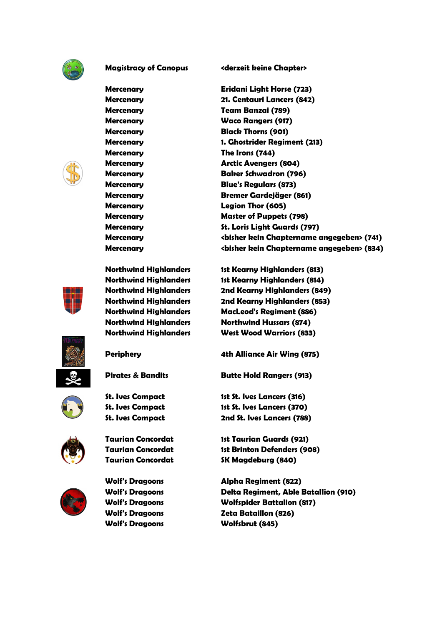

**Magistracy of Canopus**

 **Mercenary Mercenary Mercenary Mercenary Mercenary Mercenary Mercenary Mercenary Mercenary Mercenary Mercenary Mercenary Mercenary Mercenary Mercenary**

 **Mercenary Northwind Highlanders Northwind Highlanders Northwind Highlanders**

**Northwind Highlanders Northwind Highlanders Northwind Highlanders Northwind Highlanders**

 **Periphery**

**St. Ives Compact St. Ives Compact St. Ives Compact**

**Pirates & Bandits**



**Taurian Concordat Taurian Concordat Taurian Concordat**



**Wolf's Dragoons Wolf's Dragoons Wolf's Dragoons Wolf's Dragoons Wolf's Dragoons** **Canopus <derzeit keine Chapter>** 

**Eridani Light Horse (723) 21. Centauri Lancers (842) Team Banzai (789) Waco Rangers (917) Black Thorns (901) 1. Ghostrider Regiment (213) The Irons (744) Arctic Avengers (804) Baker Schwadron (796) Blue's Regulars (873) Bremer Gardejäger (861) Legion Thor (605) Master of Puppets (798) St. Loris Light Guards (797) <bisher kein Chaptername angegeben> (741) <bisher kein Chaptername angegeben> (834)**

 **1st Kearny Highlanders (813) 1st Kearny Highlanders (814) 2nd Kearny Highlanders (849) 2nd Kearny Highlanders (853) Highlanders MacLeod's Regiment (886) Northwind Hussars (874) West Wood Warriors (833)** 

**4th Alliance Air Wing (875)**

**Butte Hold Rangers (913)** 

**Compact 1st St. Ives Lancers (316)**  1st St. Ives Lancers (370) 2nd St. Ives Lancers (788)

**Concordat 1st Taurian Guards (921) 1st Brinton Defenders (908) SK Magdeburg (840)** 

**Alpha Regiment (822) Delta Regiment, Able Batallion (910) Wolfspider Battalion (817) Zeta Bataillon (826) Wolfsbrut (845)**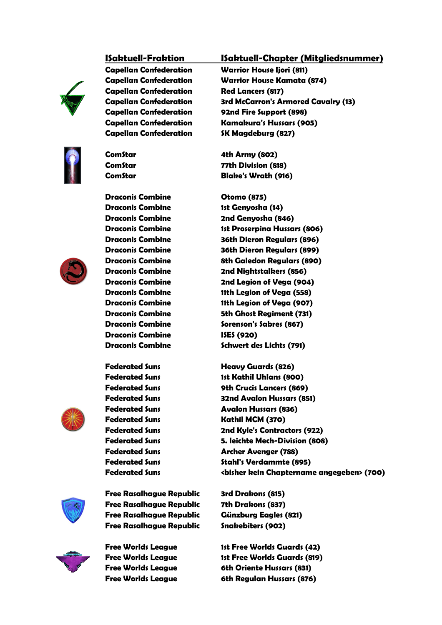# **ISaktuell-Fraktion**



**Capellan Confederation Capellan Confederation Capellan Confederation Capellan Confederation Capellan Confederation Capellan Confederation Capellan Confederation**

 **ComStar ComStar ComStar**



**Draconis Combine Draconis Combine Draconis Combine Draconis Combine Draconis Combine Draconis Combine Draconis Combine Draconis Combine Draconis Combine Draconis Combine Draconis Combine Draconis Combine Draconis Combine**

**Draconis Combine Draconis Combine**

 **Federated Suns Federated Suns Federated Suns Federated Suns Federated Suns Federated Suns Federated Suns Federated Suns Federated Suns Federated Suns Federated Suns**



**Free Rasalhague Republic Free Rasalhague Republic Free Rasalhague Republic Free Rasalhague Republic**



**Free Worlds League Free Worlds League Free Worlds League Free Worlds League**

### **Fraktion ISaktuell-Chapter (Mitgliedsnummer) Mitgliedsnummer)**

**Confederation Warrior House Ijori (811) an Warrior House Kamata (874) Red Lancers (817) 3rd McCarron's Armored Cavalry (13) 92nd Fire Support (898) Confederation Kamakura's Hussars (905)** *SK Magdeburg (827)* 

**4th Army (802) 77th Division (818) Blake's Wrath (916)** 

**Otomo (875)** 1st Genyosha (14) **Combine 2nd Genyosha (846) 1st Proserpina Hussars (806) 36th Dieron Regulars (896) Combine 36th Dieron Regulars (899) 8th Galedon Regulars (890) 2nd Nightstalkers (856) 2nd Legion of Vega (904) 11th Legion of Vega (558) 11th Legion of Vega (907) Sth Ghost Regiment (731) Sorenson's Sabres (867) Combine ISES (920) Schwert des Lichts (791)** 

**s Heavy Guards (826) 1st Kathil Uhlans (800) 9th Crucis Lancers (869) S2nd Avalon Hussars (851) Suns Avalon Hussars (836) Suns Kathil MCM (370) Suns 2nd Kyle's Contractors (922) ontractors Division 5. leichte Mech-Division (808) Archer Avenger (788) Stahl's Verdammte (895) <bisher kein Chaptername angegeben> (700)**

> **Republic 3rd Drakons (815) 7th Drakons (837) Günzburg Eagles (821) Snakebiters (902)**

 **1st Free Worlds Guards (42) 1st Free Worlds Guards (819) 6th Oriente Hussars (831) 6th Regulan Hussars (876)**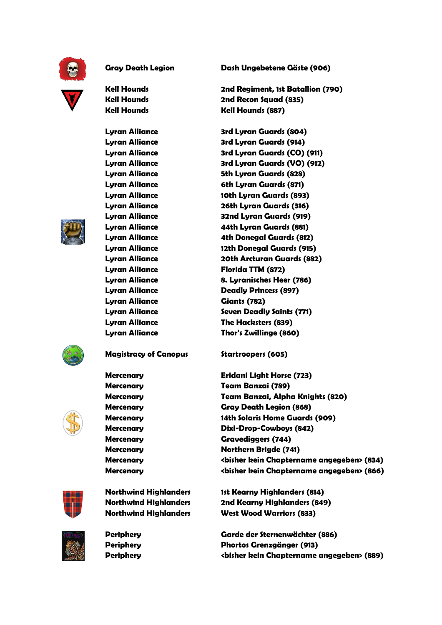

**Gray Death Legion**

 **Kell Hounds Kell Hounds Kell Hounds**

 **Lyran Alliance Lyran Alliance Lyran Alliance Lyran Alliance Lyran Alliance Lyran Alliance Lyran Alliance Lyran Alliance Lyran Alliance Lyran Alliance Lyran Alliance Lyran Alliance Lyran Alliance Lyran Alliance Lyran Alliance Lyran Alliance Lyran Alliance Lyran Alliance Lyran Alliance Lyran Alliance**





**Magistracy of Canopus**

 **Mercenary Mercenary Mercenary Mercenary Mercenary Mercenary Mercenary Mercenary Mercenary Mercenary**



**Northwind Highlanders Northwind Highlanders Northwind Highlanders**



 **Periphery Periphery Periphery** **Dash Ungebetene Gäste (906)**

**2nd Regiment, 1st Batallion (790) 2nd Recon Squad (835) Kell Hounds (887)** 

**3rd Lyran Guards (804) 3rd Lyran Guards (914) 3rd Lyran Guards (CO) (911) 3rd Lyran Guards (VO) (912) 5th Lyran Guards (828) 6th Lyran Guards (871) 10th Lyran Guards (893) 26th Lyran Guards (316) 32nd Lyran Guards (919) 44th Lyran Guards (881) 4th Donegal Guards (812) 12th Donegal Guards (915) 20th Arcturan Guards (882) Florida TTM (872) 8. Lyranisches Heer (786) Deadly Princess (897) Giants (782) Seven Deadly Saints (771) The Hacksters (839) Thor's Zwillinge (860)** 

**Startroopers (605)** 

**Eridani Light Horse (723) Team Banzai (789) Team Banzai, Alpha Knights (820) Gray Death Legion (868) 14th Solaris Home Guards (909) Dixi-Drop-Cowboys (842) Gravediggers (744) Northern Brigde (741) <bisher kein Chaptername angegeben> (834) <bisher kein Chaptername angegeben> (866)**

 **1st Kearny Highlanders (814) 2nd Kearny Highlanders (849) West Wood Warriors (833)** 

**Garde der Sternenwächter (886) Phortos Grenzgänger (913) <bisher kein Chaptername angegeben> (889)**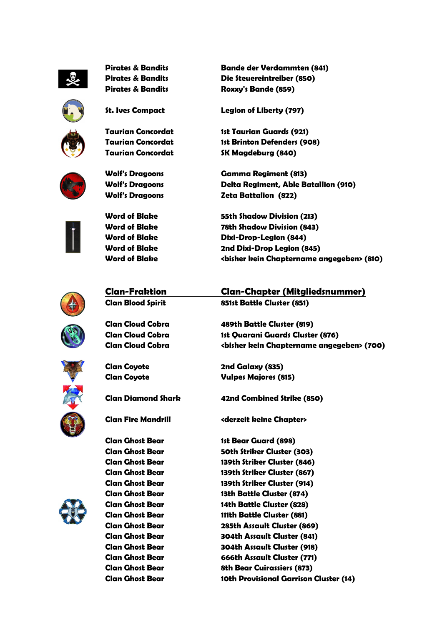

**Pirates & Bandits Pirates & Bandits Pirates & Bandits**



**St. Ives Compact**

**Taurian Concordat Taurian Concordat Taurian Concord**



**Wolf's Dragoons Wolf's Dragoons Wolf's Dragoons**



 **Word of Blake Word of Blake Word of Blake Word of Blake Word of Blake**

**Bande der Verdammten (841) Die Steuereintreiber (850) Roxxy's Bande (859)** 

Legion of Liberty (797)

**Concordat 1st Taurian Guards (921) 1st Brinton Defenders (908) Concordat SK Magdeburg (840)** 

**Gamma Regiment (813) Delta Regiment, Able Batallion (910) Zeta Battalion (822)** 

**55th Shadow Division (213) 78th Shadow Division (843) Dixi-Drop-Legion (844)**  2nd Dixi-Drop Legion (845) **<bisher kein Chaptername angegeben> (810)**



 **Clan-Fraktion Clan Blood Spirit**

**Clan Cloud Cobra Clan Cloud Cobra Clan Cloud Cobra**



 **Clan Coyote**

**Clan Diamond Shark**

 **Clan Fire Mandrill**

**Clan Ghost Bear**

**Clan Ghost Bear Clan Ghost Bear Clan Ghost Bear Clan Ghost Bear Clan Ghost Bear Clan Ghost Bear Clan Ghost Bear Clan Ghost Bear Clan Ghost Bear Clan Ghost Bear Clan Ghost Bear Clan Ghost Bear Clan Ghost Bear**

**Fraktion Clan-Chapter (Mitgliedsnummer) Chapter Spirit 851st Battle Cluster (851)** 

> **Cobra 489th Battle Cluster (819) 1st Quarani Guards Cluster (876) <bisher kein Chaptername angegeben> (700)**

**2nd Galaxy (835) Vulpes Majores (815)** 

**42nd Combined Strike (850)**

**Mandrill <derzeit keine Chapter>** 

**1st Bear Guard (898) 50th Striker Cluster (303) 139th Striker Cluster (846) Bear 139th Striker Cluster (867) Bear 139th Striker Cluster (914) 13th Battle Cluster (874) 14th Battle Cluster (828) 111th Battle Cluster (881) Bear 285th Assault Cluster (869) Bear 304th Assault Cluster (841) Bear 304th Assault Cluster (918) Bear 666th Assault Cluster (771) Bear 8th Bear Cuirassiers (873) 10th Provisional Garrison Cluster (14)**

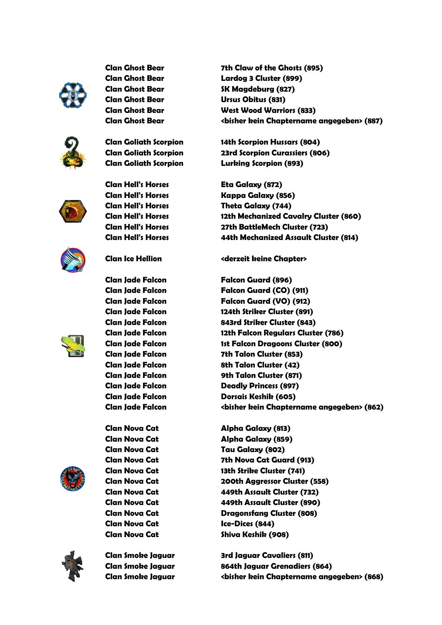

**Clan Ghost Bear Clan Ghost Bear Clan Ghost Bear Clan Ghost Bear Clan Ghost Bear Clan Ghost Bear**



**Clan Goliath Scorpion Clan Goliath Scorpion Clan Goliath Scorpion**



**Clan Hell's Horses Clan Hell's Horses Clan Hell's Horses Clan Hell's Horses**

**Clan Hell's Horses Clan Hell's Horses**



**Clan Ice Hellion**

**Clan Jade Falcon Clan Jade Falcon Clan Jade Falcon Clan Jade Falcon**



**Clan Jade Falcon Clan Jade Falcon Clan Jade Falcon Clan Jade Falcon Clan Jade Falcon Clan Jade Falcon Clan Jade Falcon Clan Jade Falcon Clan Jade Falcon**



 **Clan Nova Cat Clan Nova Cat Clan Nova Cat Clan Nova Cat Clan Nova Cat Clan Nova Cat Clan Nova Cat Clan Nova Cat Clan Nova Cat**

 **Clan Nova Cat Clan Nova Cat**



**Clan Smoke Jaguar Clan Smoke Jaguar Clan Smoke Jaguar**

 **7th Claw of the Ghosts (895) Bear Lardog 3 Cluster (899) SK Magdeburg (827) Bear Ursus Obitus (831) West Wood Warriors (833) <bisher kein Chaptername angegeben> (887)**

 **14th Scorpion Hussars (804) Scorpion 23rd Scorpion Curassiers (806) Lurking Scorpion (893)** 

Eta Galaxy (872) **Horses Kappa Galaxy (856) Horses Theta Galaxy (744) 12th Mechanized Cavalry Cluster (860) rses 27th BattleMech Cluster (723) 44th Mechanized Assault Cluster (814)**

# **Hellion <derzeit keine Chapter>**

**Falcon Falcon Guard (896) Falcon Falcon Guard (CO) (911) Falcon Falcon Guard (VO) (912) Falcon 124th Striker Cluster (891) Falcon 843rd Striker Cluster (843) 12th Falcon Regulars Cluster (786) 1st Falcon Dragoons Cluster (800) 7th Talon Cluster (853) 8th Talon Cluster (42) 9th Talon Cluster (871) Deadly Princess (897) Dorsais Keshik (605) <bisher kein Chaptername angegeben> (862)** pion Curassiers (86<br>
Scorpion (893)<br>
xy (872)<br>
alaxy (856)<br>
Ilaxy (744)<br>
hanized Cavalry C<br>
IleMech Cluster (7:<br>
hanized Assault C<br>
keine Chapter><br>
uard (896)<br>
uard (896)<br>
uard (00) (911)<br>
uard (00) (912)<br>
iker Cluster (84

**Alpha Galaxy (813) Alpha Galaxy (859) Tau Galaxy (802) 7th Nova Cat Guard (913) 13th Strike Cluster (741) 200th Aggressor Cluster (558) 449th Assault Cluster (732) 449th Assault Cluster (890) Dragonsfang Cluster (808) Ice-Dices (844) Shiva Keshik (908)** 

**Jaguar 3rd Jaguar Cavaliers (811) 864th Jaguar Grenadiers (864) Jaguar <bisher kein Chaptername angegeben> (868)**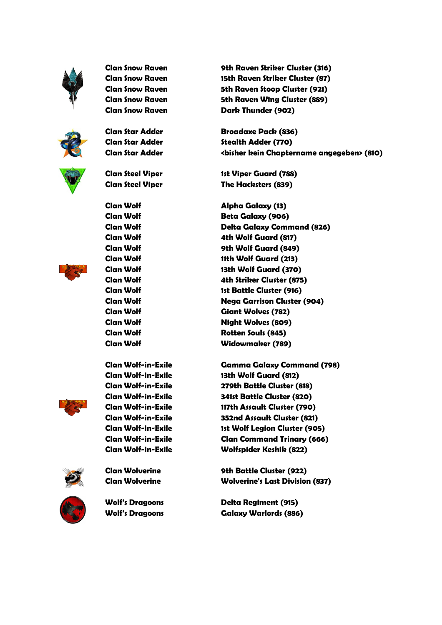

**Clan Snow Raven Clan Snow Raven Clan Snow Raven Clan Snow Raven Clan Snow Raven**





**Clan Star Adder**

**Clan Star Adder Clan Star Adder**

**Clan Steel Viper Clan Steel Viper**

 **Clan Wolf Clan Wolf Clan Wolf Clan Wolf Clan Wolf Clan Wolf Clan Wolf Clan Wolf Clan Wolf Clan Wolf Clan Wolf Clan Wolf Clan Wolf Clan Wolf**

 **Clan Wolf-in-Exile Clan Wolf-in-Exile Clan Wolf-in-Exile Clan Wolf-in-Exile Clan Wolf-in-Exile Clan Wolf-in-Exile Clan Wolf-in-Exile Clan Wolf-in-Exile Clan Wolf-in-Exile**



**Clan Wolverine Clan Wolverine**



**Wolf's Dragoons Wolf's Dragoons**

 **9th Raven Striker Cluster (316) 15th Raven Striker Cluster (87) 5th Raven Stoop Cluster (921) 5th Raven Wing Cluster (889) Dark Thunder (902)** 

**Broadaxe Pack (836) Stealth Adder (770) <bisher kein Chaptername angegeben> (810)**

**1st Viper Guard (788) The Hacksters (839)** 

**Alpha Galaxy (13) Beta Galaxy (906) Delta Galaxy Command (826) 4th Wolf Guard (817) 9th Wolf Guard (849) 11th Wolf Guard (213) 13th Wolf Guard (370) 4th Striker Cluster (875) 1st Battle Cluster (916) Nega Garrison Cluster (904) Giant Wolves (782) Night Wolves (809) Rotten Souls (845) Widowmaker (789)** 

**Exile Gamma Galaxy Command (798) Exile 13th Wolf Guard (812) Exile 279th Battle Cluster (818) Exile 341st Battle Cluster (820) Exile 117th Assault Cluster (790) B52nd Assault Cluster (821) Exile 1st Wolf Legion Cluster (905) Exile Clan Command Trinary (666) ommand Exile Wolfspider Keshik (822)** 

> **9th Battle Cluster (922) Wolverine's Last Division (837)**

**Delta Regiment (915)** Galaxy Warlords (886)

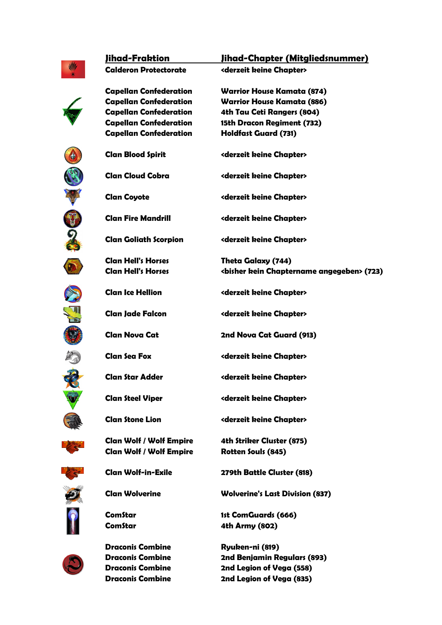

 **Jihad-Fraktion Calderon Protectorate Fraktion Jihad-Chapter (Mitgliedsnummer) Chapter** 

**Capellan Confederation Capellan Confederation Capellan Confederation Capellan Confederation Capellan Confederation**

**Clan Blood Spirit**

**Clan Cloud Cobra**

**Clan Fire Mandrill**

**Clan Hell's Horses Clan Hell's Horses**

**Clan Ice Hellion**

**Clan Jade Falcon**

 **Clan Nova Cat**

 **Clan Sea Fox**

**Clan Star Adder**

**Clan Steel Viper**

**Clan Stone Lion**

**Clan Wolf / Wolf Empire Clan Wolf / Wolf Empire**

**Clan Goliath Scorpion**

**Protectorate <derzeit keine Chapter> Warrior House Kamata (874) Warrior House Kamata (886) 4th Tau Ceti Rangers (804) Confederation 15th Dracon Regiment (732) h Holdfast Guard (731)** 

**Spirit <derzeit keine Chapter>** 

**Cobra <derzeit keine Chapter>** 

**<derzeit keine Chapter>** 

**Mandrill <derzeit keine Chapter>** 

**Scorpion <derzeit keine Chapter>** 

**Horses Theta Galaxy (744) <bisher kein Chaptername angegeben> (723)**

**Hellion <derzeit keine Chapter>** 

**Falcon <derzeit keine Chapter>** 

**2nd Nova Cat Guard (913)**

**<derzeit keine Chapter>** 

**Adder <derzeit keine Chapter>** 

**Viper <derzeit keine Chapter>** 

**Lion <derzeit keine Chapter>** 

**4th Striker Cluster (875) Rotten Souls (845)** 

**Exile 279th Battle Cluster (818)** 

**Wolverine's Last Division (837)**

**1st ComGuards (666) 4th Army (802)** 

**Ryuken-ni (819) 2nd Benjamin Regulars (893) 2nd Legion of Vega (558) Combine 2nd Legion of Vega (835)** 

















**Draconis Combine Draconis Combine**

 **Draconis Combine**



 **ComStar ComStar**

 **Clan Wolf-in-Exile Clan Wolverine**

**Draconis Combine**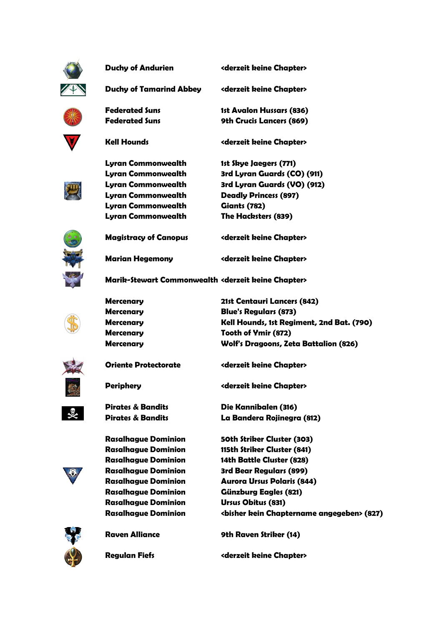

**Duchy of Andurien**

**Andurien <derzeit keine Chapter>** 

**Abbey <derzeit keine Chapter>** 

**1st Avalon Hussars (836) 9th Crucis Lancers (869)** 

**<derzeit keine Chapter>** 

**Duchy of Tamarind Abbey**

**Federated Suns Federated Suns**

 **Kell Hounds**

 **Mercenary Mercenary Mercenary Mercenary Mercenary**

 **Periphery**

**Oriente Protectorate**

**Pirates & Bandits Pirates & Bandits**

 **Rasalhague Dominion Rasalhague Dominion Rasalhague Dominion Rasalhague Dominion Rasalhague Dominion Rasalhague Dominion Rasalhague Dominion Rasalhague Dominion**



**Lyran Commonwealth Lyran Commonwealth Lyran Commonwealth Lyran Commonwealth Lyran Commonwealth Commonwealth Giants (782) Lyran Commonwealth** 1st Skye Jaegers (771) **3rd Lyran Guards (CO) (911) 3rd Lyran Guards (VO) (912) Deadly Princess (897) The Hacksters (839)** 



 **Magistracy of Canopus Marian Hegemony agistracy Canopus <derzeit keine Chapter> Hegemony <derzeit keine Chapter>** 

 **Marik-Stewart Commonwealth Stewart Commonwealth <derzeit keine Chapter>** 



**21st Centauri Lancers (842) Blue's Regulars (873) Kell Hounds, 1st Regiment, 2nd Bat. Bat. (790) Tooth of Ymir (872) Wolf's Dragoons, Zeta Battalion (826)**



**Protectorate <derzeit keine Chapter>** 

**<derzeit keine Chapter>** 

**Die Kannibalen (316) La Bandera Rojinegra (812)**

**50th Striker Cluster (303) Dominion 115th Striker Cluster (841) 14th Battle Cluster (828) 3rd Bear Regulars (899) Aurora Ursus Polaris (844)** Günzburg Eagles (821) **Ursus Obitus (831) <bisher kein Chaptername angegeben> (827)**



 **Raven Alliance**

**9th Raven Striker (14)** 

 **Regulan Fiefs**

**<derzeit keine Chapter>**